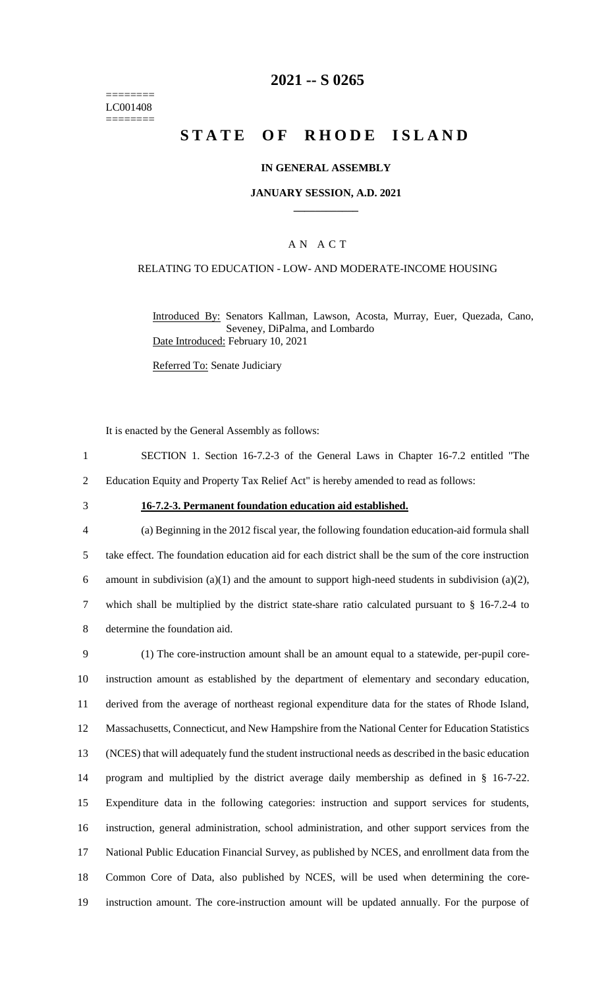======== LC001408 ========

## **2021 -- S 0265**

# **STATE OF RHODE ISLAND**

#### **IN GENERAL ASSEMBLY**

#### **JANUARY SESSION, A.D. 2021 \_\_\_\_\_\_\_\_\_\_\_\_**

### A N A C T

#### RELATING TO EDUCATION - LOW- AND MODERATE-INCOME HOUSING

Introduced By: Senators Kallman, Lawson, Acosta, Murray, Euer, Quezada, Cano, Seveney, DiPalma, and Lombardo Date Introduced: February 10, 2021

Referred To: Senate Judiciary

It is enacted by the General Assembly as follows:

- 1 SECTION 1. Section 16-7.2-3 of the General Laws in Chapter 16-7.2 entitled "The 2 Education Equity and Property Tax Relief Act" is hereby amended to read as follows:
- 

#### 3 **16-7.2-3. Permanent foundation education aid established.**

 (a) Beginning in the 2012 fiscal year, the following foundation education-aid formula shall take effect. The foundation education aid for each district shall be the sum of the core instruction 6 amount in subdivision (a)(1) and the amount to support high-need students in subdivision (a)(2), which shall be multiplied by the district state-share ratio calculated pursuant to § 16-7.2-4 to determine the foundation aid.

 (1) The core-instruction amount shall be an amount equal to a statewide, per-pupil core- instruction amount as established by the department of elementary and secondary education, derived from the average of northeast regional expenditure data for the states of Rhode Island, Massachusetts, Connecticut, and New Hampshire from the National Center for Education Statistics (NCES) that will adequately fund the student instructional needs as described in the basic education program and multiplied by the district average daily membership as defined in § 16-7-22. Expenditure data in the following categories: instruction and support services for students, instruction, general administration, school administration, and other support services from the National Public Education Financial Survey, as published by NCES, and enrollment data from the Common Core of Data, also published by NCES, will be used when determining the core-instruction amount. The core-instruction amount will be updated annually. For the purpose of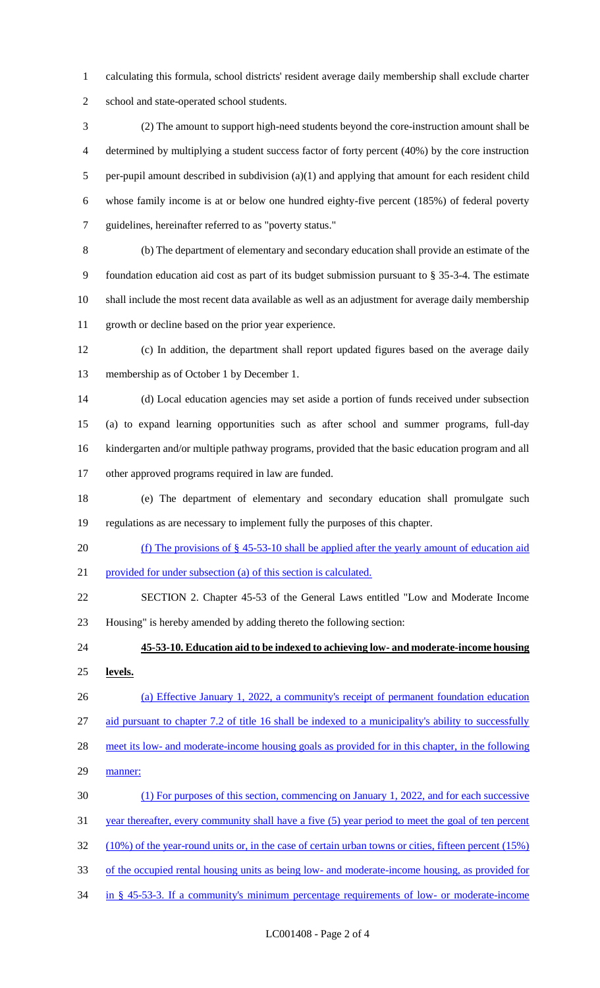calculating this formula, school districts' resident average daily membership shall exclude charter school and state-operated school students.

 (2) The amount to support high-need students beyond the core-instruction amount shall be determined by multiplying a student success factor of forty percent (40%) by the core instruction per-pupil amount described in subdivision (a)(1) and applying that amount for each resident child whose family income is at or below one hundred eighty-five percent (185%) of federal poverty guidelines, hereinafter referred to as "poverty status."

 (b) The department of elementary and secondary education shall provide an estimate of the foundation education aid cost as part of its budget submission pursuant to § 35-3-4. The estimate shall include the most recent data available as well as an adjustment for average daily membership growth or decline based on the prior year experience.

 (c) In addition, the department shall report updated figures based on the average daily membership as of October 1 by December 1.

 (d) Local education agencies may set aside a portion of funds received under subsection (a) to expand learning opportunities such as after school and summer programs, full-day kindergarten and/or multiple pathway programs, provided that the basic education program and all other approved programs required in law are funded.

 (e) The department of elementary and secondary education shall promulgate such regulations as are necessary to implement fully the purposes of this chapter.

(f) The provisions of § 45-53-10 shall be applied after the yearly amount of education aid

provided for under subsection (a) of this section is calculated.

 SECTION 2. Chapter 45-53 of the General Laws entitled "Low and Moderate Income Housing" is hereby amended by adding thereto the following section:

 **45-53-10. Education aid to be indexed to achieving low- and moderate-income housing levels.** 

 (a) Effective January 1, 2022, a community's receipt of permanent foundation education aid pursuant to chapter 7.2 of title 16 shall be indexed to a municipality's ability to successfully

28 meet its low- and moderate-income housing goals as provided for in this chapter, in the following

29 manner:

(1) For purposes of this section, commencing on January 1, 2022, and for each successive

31 year thereafter, every community shall have a five (5) year period to meet the goal of ten percent

(10%) of the year-round units or, in the case of certain urban towns or cities, fifteen percent (15%)

of the occupied rental housing units as being low- and moderate-income housing, as provided for

in § 45-53-3. If a community's minimum percentage requirements of low- or moderate-income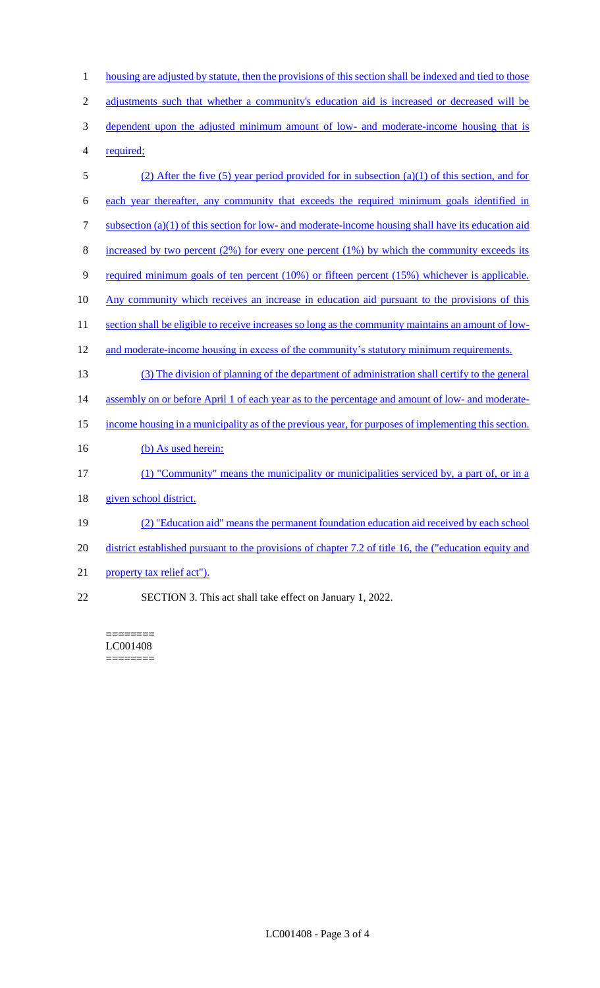1 housing are adjusted by statute, then the provisions of this section shall be indexed and tied to those 2 adjustments such that whether a community's education aid is increased or decreased will be 3 dependent upon the adjusted minimum amount of low- and moderate-income housing that is 4 required; 5 (2) After the five (5) year period provided for in subsection (a)(1) of this section, and for 6 each year thereafter, any community that exceeds the required minimum goals identified in 7 subsection (a)(1) of this section for low- and moderate-income housing shall have its education aid 8 increased by two percent  $(2\%)$  for every one percent  $(1\%)$  by which the community exceeds its 9 required minimum goals of ten percent (10%) or fifteen percent (15%) whichever is applicable. 10 Any community which receives an increase in education aid pursuant to the provisions of this 11 section shall be eligible to receive increases so long as the community maintains an amount of low-12 and moderate-income housing in excess of the community's statutory minimum requirements. 13 (3) The division of planning of the department of administration shall certify to the general 14 assembly on or before April 1 of each year as to the percentage and amount of low- and moderate-15 income housing in a municipality as of the previous year, for purposes of implementing this section. 16 (b) As used herein: 17 (1) "Community" means the municipality or municipalities serviced by, a part of, or in a 18 given school district. 19 (2) "Education aid" means the permanent foundation education aid received by each school 20 district established pursuant to the provisions of chapter 7.2 of title 16, the ("education equity and 21 property tax relief act"). 22 SECTION 3. This act shall take effect on January 1, 2022.

======== LC001408

========